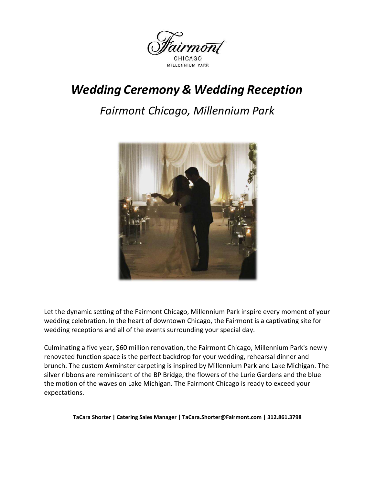

# *Wedding Ceremony & Wedding Reception*

# *Fairmont Chicago, Millennium Park*



Let the dynamic setting of the Fairmont Chicago, Millennium Park inspire every moment of your wedding celebration. In the heart of downtown Chicago, the Fairmont is a captivating site for wedding receptions and all of the events surrounding your special day.

Culminating a five year, \$60 million renovation, the Fairmont Chicago, Millennium Park's newly renovated function space is the perfect backdrop for your wedding, rehearsal dinner and brunch. The custom Axminster carpeting is inspired by Millennium Park and Lake Michigan. The silver ribbons are reminiscent of the BP Bridge, the flowers of the Lurie Gardens and the blue the motion of the waves on Lake Michigan. The Fairmont Chicago is ready to exceed your expectations.

**TaCara Shorter | Catering Sales Manager | TaCara.Shorter@Fairmont.com | 312.861.3798**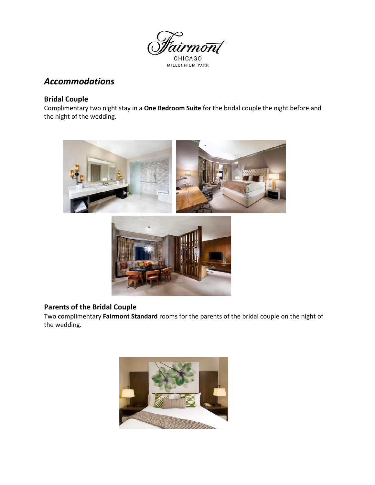

# *Accommodations*

### **Bridal Couple**

Complimentary two night stay in a **One Bedroom Suite** for the bridal couple the night before and the night of the wedding.





## **Parents of the Bridal Couple**

Two complimentary **Fairmont Standard** rooms for the parents of the bridal couple on the night of the wedding.

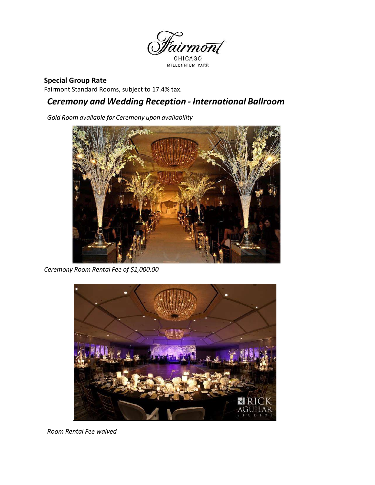

## **Special Group Rate**

Fairmont Standard Rooms, subject to 17.4% tax.

# *Ceremony and Wedding Reception - International Ballroom*

*Gold Room available for Ceremony upon availability*



*Ceremony Room Rental Fee of \$1,000.00*



*Room Rental Fee waived*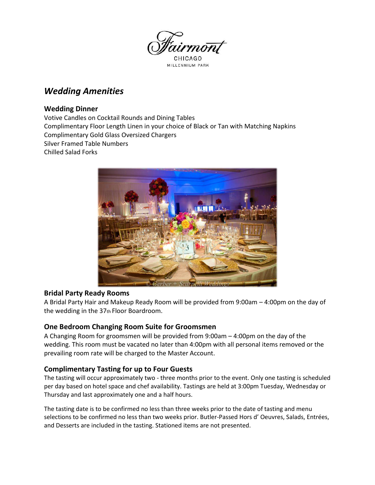

# MILLENNIUM PARK

# *Wedding Amenities*

### **Wedding Dinner**

Votive Candles on Cocktail Rounds and Dining Tables Complimentary Floor Length Linen in your choice of Black or Tan with Matching Napkins Complimentary Gold Glass Oversized Chargers Silver Framed Table Numbers Chilled Salad Forks



#### **Bridal Party Ready Rooms**

A Bridal Party Hair and Makeup Ready Room will be provided from 9:00am – 4:00pm on the day of the wedding in the 37th Floor Boardroom.

#### **One Bedroom Changing Room Suite for Groomsmen**

A Changing Room for groomsmen will be provided from 9:00am – 4:00pm on the day of the wedding. This room must be vacated no later than 4:00pm with all personal items removed or the prevailing room rate will be charged to the Master Account.

## **Complimentary Tasting for up to Four Guests**

The tasting will occur approximately two - three months prior to the event. Only one tasting is scheduled per day based on hotel space and chef availability. Tastings are held at 3:00pm Tuesday, Wednesday or Thursday and last approximately one and a half hours.

The tasting date is to be confirmed no less than three weeks prior to the date of tasting and menu selections to be confirmed no less than two weeks prior. Butler-Passed Hors d' Oeuvres, Salads, Entrées, and Desserts are included in the tasting. Stationed items are not presented.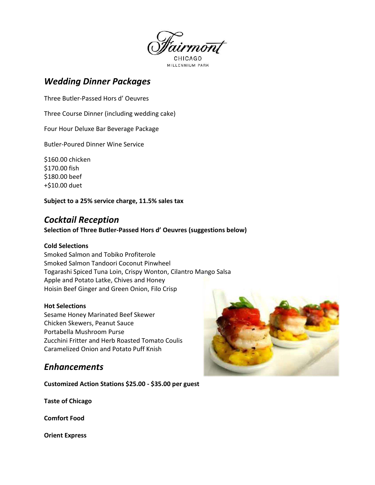

# *Wedding Dinner Packages*

Three Butler-Passed Hors d' Oeuvres

Three Course Dinner (including wedding cake)

Four Hour Deluxe Bar Beverage Package

Butler-Poured Dinner Wine Service

\$160.00 chicken \$170.00 fish \$180.00 beef +\$10.00 duet

**Subject to a 25% service charge, 11.5% sales tax**

# *Cocktail Reception*

#### **Selection of Three Butler-Passed Hors d' Oeuvres (suggestions below)**

#### **Cold Selections**

Smoked Salmon and Tobiko Profiterole Smoked Salmon Tandoori Coconut Pinwheel Togarashi Spiced Tuna Loin, Crispy Wonton, Cilantro Mango Salsa Apple and Potato Latke, Chives and Honey Hoisin Beef Ginger and Green Onion, Filo Crisp

#### **Hot Selections**

Sesame Honey Marinated Beef Skewer Chicken Skewers, Peanut Sauce Portabella Mushroom Purse Zucchini Fritter and Herb Roasted Tomato Coulis Caramelized Onion and Potato Puff Knish

## *Enhancements*

**Customized Action Stations \$25.00 - \$35.00 per guest** 

**Taste of Chicago** 

**Comfort Food** 

**Orient Express**

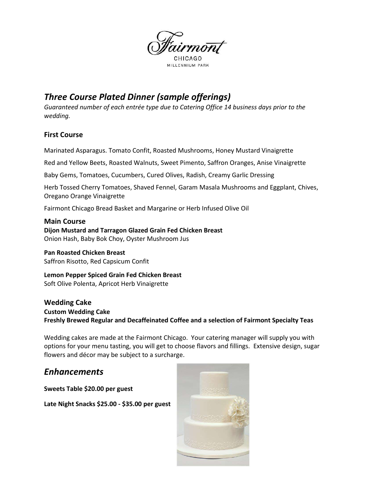

# *Three Course Plated Dinner (sample offerings)*

*Guaranteed number of each entrée type due to Catering Office 14 business days prior to the wedding.* 

#### **First Course**

Marinated Asparagus. Tomato Confit, Roasted Mushrooms, Honey Mustard Vinaigrette

Red and Yellow Beets, Roasted Walnuts, Sweet Pimento, Saffron Oranges, Anise Vinaigrette

Baby Gems, Tomatoes, Cucumbers, Cured Olives, Radish, Creamy Garlic Dressing

Herb Tossed Cherry Tomatoes, Shaved Fennel, Garam Masala Mushrooms and Eggplant, Chives, Oregano Orange Vinaigrette

Fairmont Chicago Bread Basket and Margarine or Herb Infused Olive Oil

#### **Main Course**

## **Dijon Mustard and Tarragon Glazed Grain Fed Chicken Breast**

Onion Hash, Baby Bok Choy, Oyster Mushroom Jus

# **Pan Roasted Chicken Breast**

Saffron Risotto, Red Capsicum Confit

**Lemon Pepper Spiced Grain Fed Chicken Breast**  Soft Olive Polenta, Apricot Herb Vinaigrette

**Wedding Cake Custom Wedding Cake Freshly Brewed Regular and Decaffeinated Coffee and a selection of Fairmont Specialty Teas**

Wedding cakes are made at the Fairmont Chicago. Your catering manager will supply you with options for your menu tasting, you will get to choose flavors and fillings. Extensive design, sugar flowers and décor may be subject to a surcharge.

# *Enhancements*

**Sweets Table \$20.00 per guest** 

**Late Night Snacks \$25.00 - \$35.00 per guest**

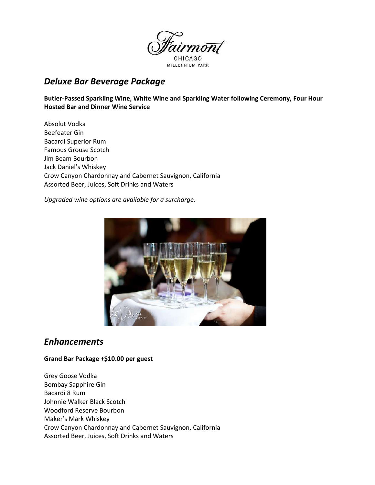

# *Deluxe Bar Beverage Package*

**Butler-Passed Sparkling Wine, White Wine and Sparkling Water following Ceremony, Four Hour Hosted Bar and Dinner Wine Service** 

Absolut Vodka Beefeater Gin Bacardi Superior Rum Famous Grouse Scotch Jim Beam Bourbon Jack Daniel's Whiskey Crow Canyon Chardonnay and Cabernet Sauvignon, California Assorted Beer, Juices, Soft Drinks and Waters

*Upgraded wine options are available for a surcharge.* 



## *Enhancements*

**Grand Bar Package +\$10.00 per guest** 

Grey Goose Vodka Bombay Sapphire Gin Bacardi 8 Rum Johnnie Walker Black Scotch Woodford Reserve Bourbon Maker's Mark Whiskey Crow Canyon Chardonnay and Cabernet Sauvignon, California Assorted Beer, Juices, Soft Drinks and Waters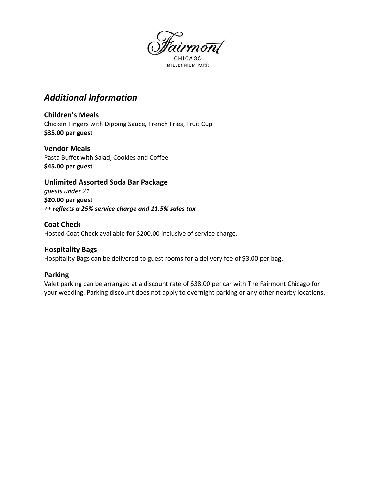

MILLENNIUM PARK

# *Additional Information*

**Children's Meals**  Chicken Fingers with Dipping Sauce, French Fries, Fruit Cup **\$35.00 per guest** 

**Vendor Meals**  Pasta Buffet with Salad, Cookies and Coffee **\$45.00 per guest** 

**Unlimited Assorted Soda Bar Package**  *guests under 21*  **\$20.00 per guest**  *++ reflects a 25% service charge and 11.5% sales tax* 

**Coat Check**  Hosted Coat Check available for \$200.00 inclusive of service charge.

#### **Hospitality Bags**

Hospitality Bags can be delivered to guest rooms for a delivery fee of \$3.00 per bag.

#### **Parking**

Valet parking can be arranged at a discount rate of \$38.00 per car with The Fairmont Chicago for your wedding. Parking discount does not apply to overnight parking or any other nearby locations.